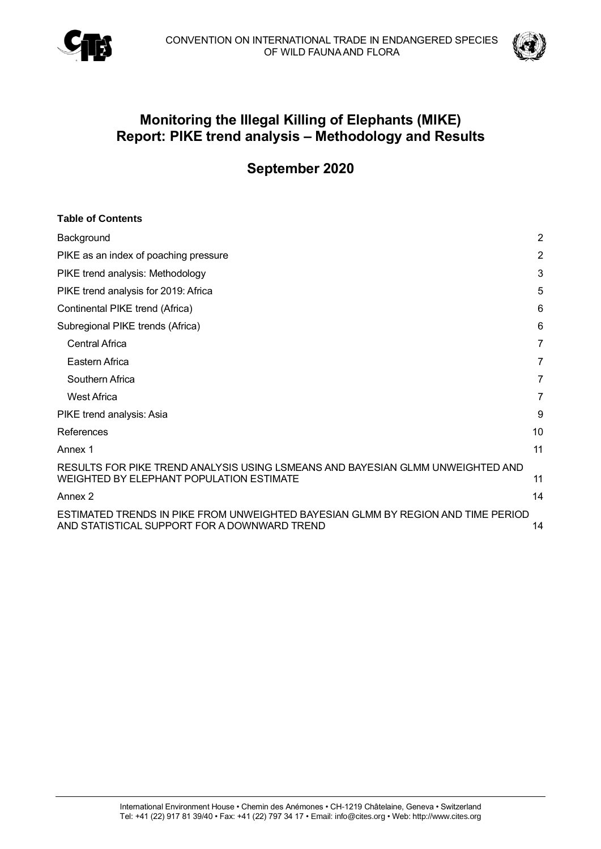



# **Monitoring the Illegal Killing of Elephants (MIKE) Report: PIKE trend analysis – Methodology and Results**

# **September 2020**

| <b>Table of Contents</b>                                                                                                         |                |
|----------------------------------------------------------------------------------------------------------------------------------|----------------|
| Background                                                                                                                       | $\overline{2}$ |
| PIKE as an index of poaching pressure                                                                                            | $\overline{2}$ |
| PIKE trend analysis: Methodology                                                                                                 | 3              |
| PIKE trend analysis for 2019: Africa                                                                                             | 5              |
| Continental PIKE trend (Africa)                                                                                                  | 6              |
| Subregional PIKE trends (Africa)                                                                                                 | 6              |
| <b>Central Africa</b>                                                                                                            | 7              |
| Eastern Africa                                                                                                                   | 7              |
| Southern Africa                                                                                                                  | 7              |
| <b>West Africa</b>                                                                                                               | 7              |
| PIKE trend analysis: Asia                                                                                                        | 9              |
| References                                                                                                                       | 10             |
| Annex 1                                                                                                                          | 11             |
| RESULTS FOR PIKE TREND ANALYSIS USING LSMEANS AND BAYESIAN GLMM UNWEIGHTED AND<br>WEIGHTED BY ELEPHANT POPULATION ESTIMATE       | 11             |
| Annex 2                                                                                                                          | 14             |
| ESTIMATED TRENDS IN PIKE FROM UNWEIGHTED BAYESIAN GLMM BY REGION AND TIME PERIOD<br>AND STATISTICAL SUPPORT FOR A DOWNWARD TREND | 14             |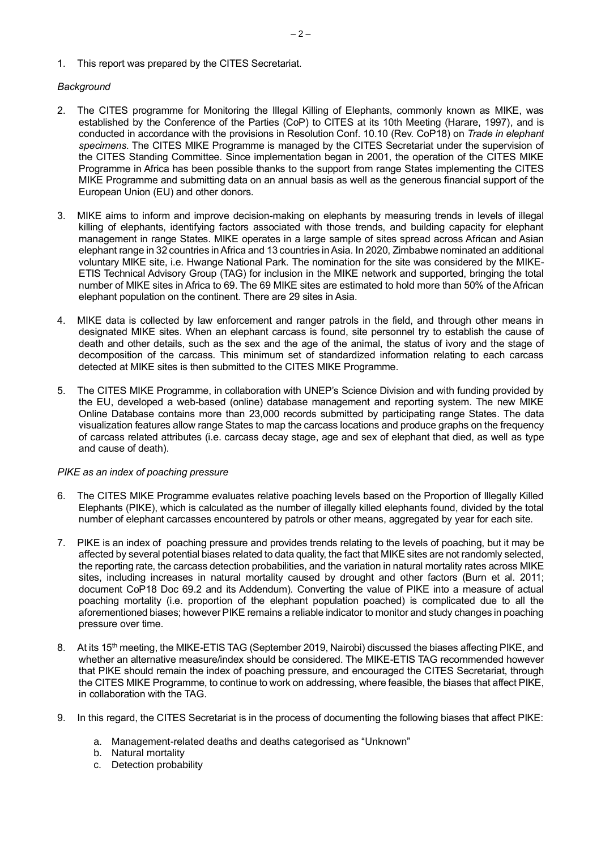1. This report was prepared by the CITES Secretariat.

## <span id="page-1-0"></span>*Background*

- 2. The CITES programme for Monitoring the Illegal Killing of Elephants, commonly known as MIKE, was established by the Conference of the Parties (CoP) to CITES at its 10th Meeting (Harare, 1997), and is conducted in accordance with the provisions in Resolution Conf. 10.10 (Rev. CoP18) on *Trade in elephant specimens*. The CITES MIKE Programme is managed by the CITES Secretariat under the supervision of the CITES Standing Committee. Since implementation began in 2001, the operation of the CITES MIKE Programme in Africa has been possible thanks to the support from range States implementing the CITES MIKE Programme and submitting data on an annual basis as well as the generous financial support of the European Union (EU) and other donors.
- 3. MIKE aims to inform and improve decision-making on elephants by measuring trends in levels of illegal killing of elephants, identifying factors associated with those trends, and building capacity for elephant management in range States. MIKE operates in a large sample of sites spread across African and Asian elephant range in 32 countries in Africa and 13 countries in Asia. In 2020, Zimbabwe nominated an additional voluntary MIKE site, i.e. Hwange National Park. The nomination for the site was considered by the MIKE-ETIS Technical Advisory Group (TAG) for inclusion in the MIKE network and supported, bringing the total number of MIKE sites in Africa to 69. The 69 MIKE sites are estimated to hold more than 50% of the African elephant population on the continent. There are 29 sites in Asia.
- 4. MIKE data is collected by law enforcement and ranger patrols in the field, and through other means in designated MIKE sites. When an elephant carcass is found, site personnel try to establish the cause of death and other details, such as the sex and the age of the animal, the status of ivory and the stage of decomposition of the carcass. This minimum set of standardized information relating to each carcass detected at MIKE sites is then submitted to the CITES MIKE Programme.
- 5. The CITES MIKE Programme, in collaboration with UNEP's Science Division and with funding provided by the EU, developed a web-based (online) database management and reporting system. The new MIKE Online Database contains more than 23,000 records submitted by participating range States. The data visualization features allow range States to map the carcass locations and produce graphs on the frequency of carcass related attributes (i.e. carcass decay stage, age and sex of elephant that died, as well as type and cause of death).

### <span id="page-1-1"></span>*PIKE as an index of poaching pressure*

- 6. The CITES MIKE Programme evaluates relative poaching levels based on the Proportion of Illegally Killed Elephants (PIKE), which is calculated as the number of illegally killed elephants found, divided by the total number of elephant carcasses encountered by patrols or other means, aggregated by year for each site.
- 7. PIKE is an index of poaching pressure and provides trends relating to the levels of poaching, but it may be affected by several potential biases related to data quality, the fact that MIKE sites are not randomly selected, the reporting rate, the carcass detection probabilities, and the variation in natural mortality rates across MIKE sites, including increases in natural mortality caused by drought and other factors (Burn et al. 2011; document CoP18 Doc 69.2 and its Addendum). Converting the value of PIKE into a measure of actual poaching mortality (i.e. proportion of the elephant population poached) is complicated due to all the aforementioned biases;however PIKE remains a reliable indicator to monitor and study changes in poaching pressure over time.
- 8. At its 15<sup>th</sup> meeting, the MIKE-ETIS TAG (September 2019, Nairobi) discussed the biases affecting PIKE, and whether an alternative measure/index should be considered. The MIKE-ETIS TAG recommended however that PIKE should remain the index of poaching pressure, and encouraged the CITES Secretariat, through the CITES MIKE Programme, to continue to work on addressing, where feasible, the biases that affect PIKE, in collaboration with the TAG.
- 9. In this regard, the CITES Secretariat is in the process of documenting the following biases that affect PIKE:
	- a. Management-related deaths and deaths categorised as "Unknown"
	- b. Natural mortality
	- c. Detection probability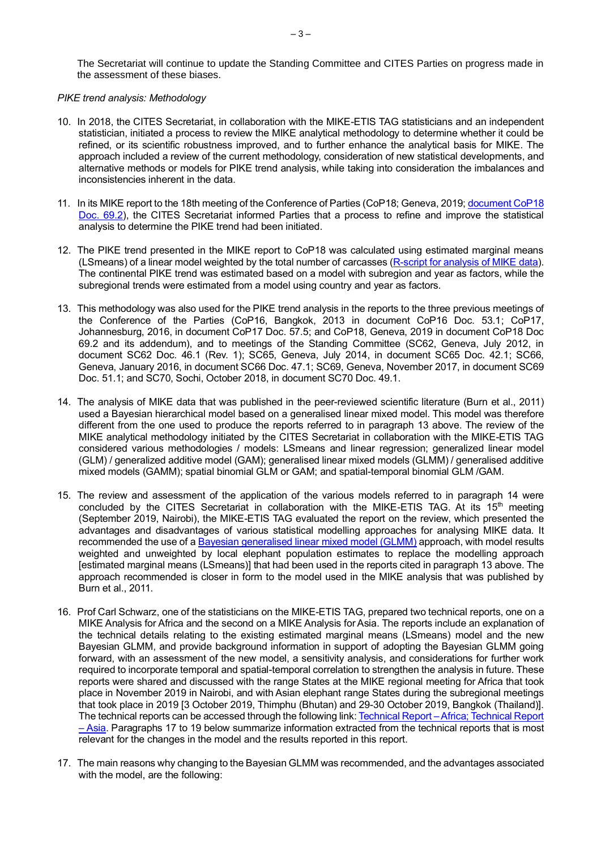## <span id="page-2-0"></span>*PIKE trend analysis: Methodology*

- 10. In 2018, the CITES Secretariat, in collaboration with the MIKE-ETIS TAG statisticians and an independent statistician, initiated a process to review the MIKE analytical methodology to determine whether it could be refined, or its scientific robustness improved, and to further enhance the analytical basis for MIKE. The approach included a review of the current methodology, consideration of new statistical developments, and alternative methods or models for PIKE trend analysis, while taking into consideration the imbalances and inconsistencies inherent in the data.
- 11. In its MIKE report to the 18th meeting of the Conference of Parties (CoP18; Geneva, 2019[; document CoP18](https://cites.org/sites/default/files/eng/cop/18/doc/E-CoP18-069-02.pdf)  [Doc. 69.2\)](https://cites.org/sites/default/files/eng/cop/18/doc/E-CoP18-069-02.pdf), the CITES Secretariat informed Parties that a process to refine and improve the statistical analysis to determine the PIKE trend had been initiated.
- 12. The PIKE trend presented in the MIKE report to CoP18 was calculated using estimated marginal means (LSmeans) of a linear model weighted by the total number of carcasses [\(R-script for analysis of MIKE data\)](https://github.com/CITES-MIKE/MIKE-LSMEANS). The continental PIKE trend was estimated based on a model with subregion and year as factors, while the subregional trends were estimated from a model using country and year as factors.
- 13. This methodology was also used for the PIKE trend analysis in the reports to the three previous meetings of the Conference of the Parties (CoP16, Bangkok, 2013 in document CoP16 Doc. 53.1; CoP17, Johannesburg, 2016, in document CoP17 Doc. 57.5; and CoP18, Geneva, 2019 in document CoP18 Doc 69.2 and its addendum), and to meetings of the Standing Committee (SC62, Geneva, July 2012, in document SC62 Doc. 46.1 (Rev. 1); SC65, Geneva, July 2014, in document SC65 Doc. 42.1; SC66, Geneva, January 2016, in document SC66 Doc. 47.1; SC69, Geneva, November 2017, in document SC69 Doc. 51.1; and SC70, Sochi, October 2018, in document SC70 Doc. 49.1.
- 14. The analysis of MIKE data that was published in the peer-reviewed scientific literature (Burn et al., 2011) used a Bayesian hierarchical model based on a generalised linear mixed model. This model was therefore different from the one used to produce the reports referred to in paragraph 13 above. The review of the MIKE analytical methodology initiated by the CITES Secretariat in collaboration with the MIKE-ETIS TAG considered various methodologies / models: LSmeans and linear regression; generalized linear model (GLM) / generalized additive model (GAM); generalised linear mixed models (GLMM) / generalised additive mixed models (GAMM); spatial binomial GLM or GAM; and spatial-temporal binomial GLM /GAM.
- 15. The review and assessment of the application of the various models referred to in paragraph 14 were concluded by the CITES Secretariat in collaboration with the MIKE-ETIS TAG. At its  $15<sup>th</sup>$  meeting (September 2019, Nairobi), the MIKE-ETIS TAG evaluated the report on the review, which presented the advantages and disadvantages of various statistical modelling approaches for analysing MIKE data. It recommended the use of [a Bayesian generalised linear mixed model \(GLMM\)](https://github.com/CITESmike2020/MIKE-GLMM) approach, with model results weighted and unweighted by local elephant population estimates to replace the modelling approach [estimated marginal means (LSmeans)] that had been used in the reports cited in paragraph 13 above. The approach recommended is closer in form to the model used in the MIKE analysis that was published by Burn et al., 2011.
- 16. Prof Carl Schwarz, one of the statisticians on the MIKE-ETIS TAG, prepared two technical reports, one on a MIKE Analysis for Africa and the second on a MIKE Analysis for Asia. The reports include an explanation of the technical details relating to the existing estimated marginal means (LSmeans) model and the new Bayesian GLMM, and provide background information in support of adopting the Bayesian GLMM going forward, with an assessment of the new model, a sensitivity analysis, and considerations for further work required to incorporate temporal and spatial-temporal correlation to strengthen the analysis in future. These reports were shared and discussed with the range States at the MIKE regional meeting for Africa that took place in November 2019 in Nairobi, and with Asian elephant range States during the subregional meetings that took place in 2019 [3 October 2019, Thimphu (Bhutan) and 29-30 October 2019, Bangkok (Thailand)]. The technical reports can be accessed through the following link[: Technical Report –Africa; Technical Report](https://www.dropbox.com/sh/9lrjhewc2zmzw63/AABSjvxxXJ7QVTp_WlQEUatja?dl=0)  – [Asia.](https://www.dropbox.com/sh/9lrjhewc2zmzw63/AABSjvxxXJ7QVTp_WlQEUatja?dl=0) Paragraphs 17 to 19 below summarize information extracted from the technical reports that is most relevant for the changes in the model and the results reported in this report.
- 17. The main reasons why changing to the Bayesian GLMM was recommended, and the advantages associated with the model, are the following: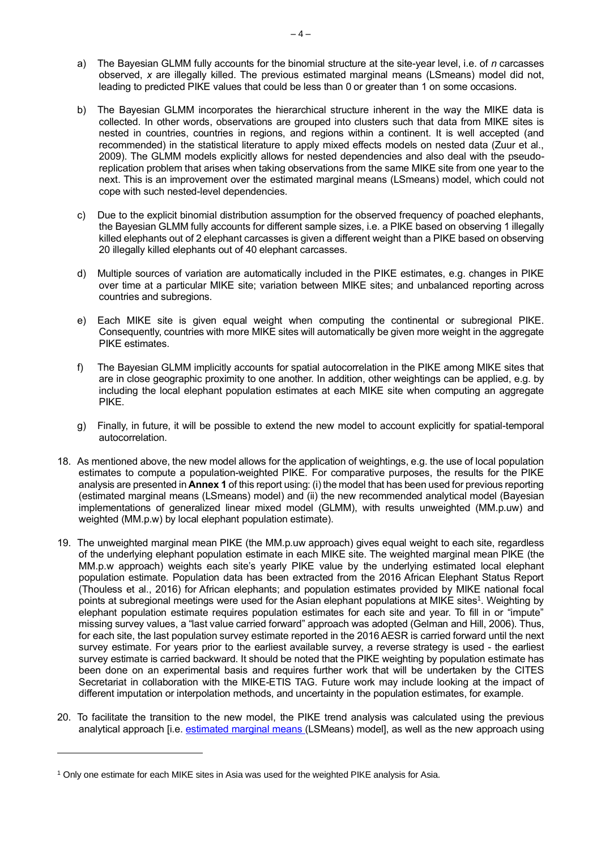- a) The Bayesian GLMM fully accounts for the binomial structure at the site-year level, i.e. of *n* carcasses observed, *x* are illegally killed. The previous estimated marginal means (LSmeans) model did not, leading to predicted PIKE values that could be less than 0 or greater than 1 on some occasions.
- b) The Bayesian GLMM incorporates the hierarchical structure inherent in the way the MIKE data is collected. In other words, observations are grouped into clusters such that data from MIKE sites is nested in countries, countries in regions, and regions within a continent. It is well accepted (and recommended) in the statistical literature to apply mixed effects models on nested data (Zuur et al., 2009). The GLMM models explicitly allows for nested dependencies and also deal with the pseudoreplication problem that arises when taking observations from the same MIKE site from one year to the next. This is an improvement over the estimated marginal means (LSmeans) model, which could not cope with such nested-level dependencies.
- c) Due to the explicit binomial distribution assumption for the observed frequency of poached elephants, the Bayesian GLMM fully accounts for different sample sizes, i.e. a PIKE based on observing 1 illegally killed elephants out of 2 elephant carcasses is given a different weight than a PIKE based on observing 20 illegally killed elephants out of 40 elephant carcasses.
- d) Multiple sources of variation are automatically included in the PIKE estimates, e.g. changes in PIKE over time at a particular MIKE site; variation between MIKE sites; and unbalanced reporting across countries and subregions.
- e) Each MIKE site is given equal weight when computing the continental or subregional PIKE. Consequently, countries with more MIKE sites will automatically be given more weight in the aggregate PIKE estimates.
- f) The Bayesian GLMM implicitly accounts for spatial autocorrelation in the PIKE among MIKE sites that are in close geographic proximity to one another. In addition, other weightings can be applied, e.g. by including the local elephant population estimates at each MIKE site when computing an aggregate PIKE.
- g) Finally, in future, it will be possible to extend the new model to account explicitly for spatial-temporal autocorrelation.
- 18. As mentioned above, the new model allows for the application of weightings, e.g. the use of local population estimates to compute a population-weighted PIKE. For comparative purposes, the results for the PIKE analysis are presented in **Annex 1** of this report using: (i) the model that has been used for previous reporting (estimated marginal means (LSmeans) model) and (ii) the new recommended analytical model (Bayesian implementations of generalized linear mixed model (GLMM), with results unweighted (MM.p.uw) and weighted (MM.p.w) by local elephant population estimate).
- 19. The unweighted marginal mean PIKE (the MM.p.uw approach) gives equal weight to each site, regardless of the underlying elephant population estimate in each MIKE site. The weighted marginal mean PIKE (the MM.p.w approach) weights each site's yearly PIKE value by the underlying estimated local elephant population estimate. Population data has been extracted from the 2016 African Elephant Status Report (Thouless et al., 2016) for African elephants; and population estimates provided by MIKE national focal points at subregional meetings were used for the Asian elephant populations at MIKE sites<sup>1</sup>. Weighting by elephant population estimate requires population estimates for each site and year. To fill in or "impute" missing survey values, a "last value carried forward" approach was adopted [\(Gelman](http://www.stat.columbia.edu/~gelman/arm/missing.pdf) and Hill, 2006). Thus, for each site, the last population survey estimate reported in the 2016 AESR is carried forward until the next survey estimate. For years prior to the earliest available survey, a reverse strategy is used - the earliest survey estimate is carried backward. It should be noted that the PIKE weighting by population estimate has been done on an experimental basis and requires further work that will be undertaken by the CITES Secretariat in collaboration with the MIKE-ETIS TAG. Future work may include looking at the impact of different imputation or interpolation methods, and uncertainty in the population estimates, for example.
- 20. To facilitate the transition to the new model, the PIKE trend analysis was calculated using the previous analytical approach [i.e. [estimated marginal means \(](https://github.com/CITES-MIKE/MIKE-LSMEANS)LSMeans) model], as well as the new approach using

<sup>1</sup> Only one estimate for each MIKE sites in Asia was used for the weighted PIKE analysis for Asia.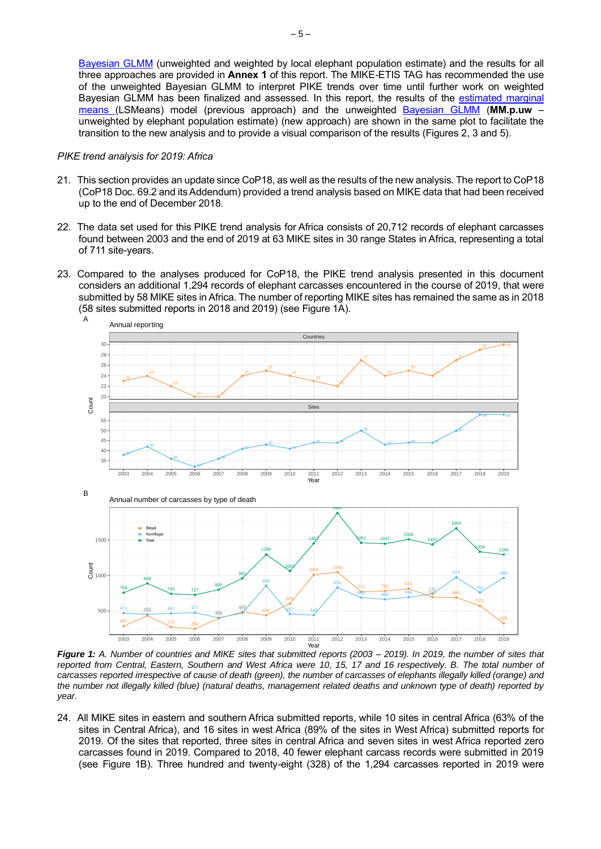[Bayesian GLMM](https://github.com/CITESmike2020/MIKE-GLMM) (unweighted and weighted by local elephant population estimate) and the results for all three approaches are provided in **Annex 1** of this report. The MIKE-ETIS TAG has recommended the use of the unweighted Bayesian GLMM to interpret PIKE trends over time until further work on weighted Bayesian GLMM has been finalized and assessed. In this report, the results of the [estimated marginal](https://github.com/CITES-MIKE/MIKE-LSMEANS)  [means \(](https://github.com/CITES-MIKE/MIKE-LSMEANS)LSMeans) model (previous approach) and the unweighted [Bayesian GLMM](https://github.com/CITESmike2020/MIKE-GLMM) (**MM.p.uw** – unweighted by elephant population estimate) (new approach) are shown in the same plot to facilitate the transition to the new analysis and to provide a visual comparison of the results (Figures 2, 3 and 5).

#### <span id="page-4-0"></span>*PIKE trend analysis for 2019: Africa*

- 21. This section provides an update since CoP18, as well as the results of the new analysis. The report to CoP18 [\(CoP18 Doc. 69.2 and its Addendum\)](https://cites.org/sites/default/files/eng/cop/18/doc/E-CoP18-069-02-Add.pdf) provided a trend analysis based on MIKE data that had been received up to the end of December 2018.
- 22. The data set used for this PIKE trend analysis for Africa consists of 20,712 records of elephant carcasses found between 2003 and the end of 2019 at 63 MIKE sites in 30 range States in Africa, representing a total of 711 site-years.
- 23. Compared to the analyses produced for CoP18, the PIKE trend analysis presented in this document considers an additional 1,294 records of elephant carcasses encountered in the course of 2019, that were submitted by 58 MIKE sites in Africa. The number of reporting MIKE sites has remained the same as in 2018 (58 sites submitted reports in 2018 and 2019) (see Figure 1A).



*Figure 1: A. Number of countries and MIKE sites that submitted reports (2003 – 2019). In 2019, the number of sites that reported from Central, Eastern, Southern and West Africa were 10, 15, 17 and 16 respectively. B. The total number of carcasses reported irrespective of cause of death (green), the number of carcasses of elephants illegally killed (orange) and the number not illegally killed (blue) (natural deaths, management related deaths and unknown type of death) reported by year.* 

24. All MIKE sites in eastern and southern Africa submitted reports, while 10 sites in central Africa (63% of the sites in Central Africa), and 16 sites in west Africa (89% of the sites in West Africa) submitted reports for 2019. Of the sites that reported, three sites in central Africa and seven sites in west Africa reported zero carcasses found in 2019. Compared to 2018, 40 fewer elephant carcass records were submitted in 2019 (see Figure 1B). Three hundred and twenty-eight (328) of the 1,294 carcasses reported in 2019 were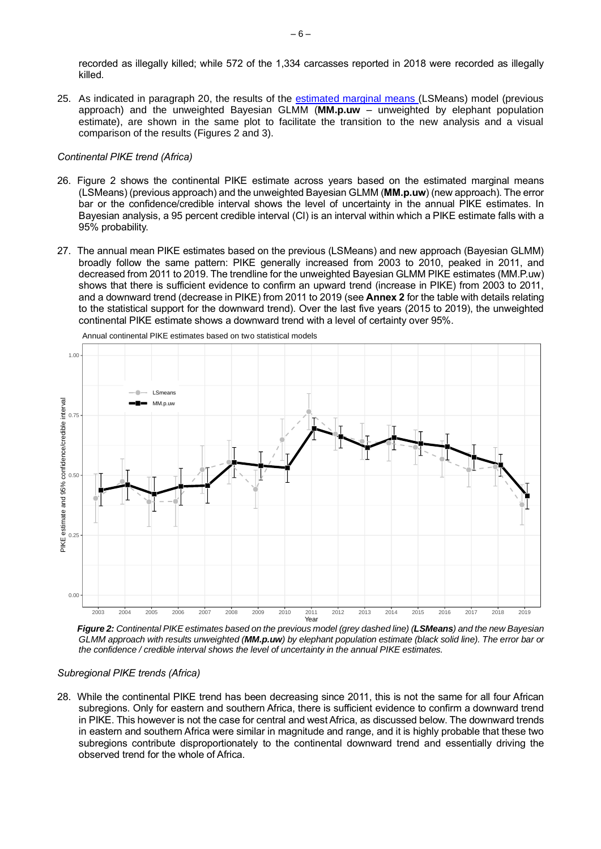recorded as illegally killed; while 572 of the 1,334 carcasses reported in 2018 were recorded as illegally killed.

25. As indicated in paragraph 20, the results of the [estimated marginal means \(](https://github.com/CITES-MIKE/MIKE-LSMEANS)LSMeans) model (previous approach) and the unweighted Bayesian GLMM (**MM.p.uw** – unweighted by elephant population estimate), are shown in the same plot to facilitate the transition to the new analysis and a visual comparison of the results (Figures 2 and 3).

## <span id="page-5-0"></span>*Continental PIKE trend (Africa)*

- 26. Figure 2 shows the continental PIKE estimate across years based on the estimated marginal means (LSMeans) (previous approach) and the unweighted Bayesian GLMM (**MM.p.uw**) (new approach). The error bar or the confidence/credible interval shows the level of uncertainty in the annual PIKE estimates. In Bayesian analysis, a 95 percent credible interval (CI) is an interval within which a PIKE estimate falls with a 95% probability.
- 27. The annual mean PIKE estimates based on the previous (LSMeans) and new approach (Bayesian GLMM) broadly follow the same pattern: PIKE generally increased from 2003 to 2010, peaked in 2011, and decreased from 2011 to 2019. The trendline for the unweighted Bayesian GLMM PIKE estimates (MM.P.uw) shows that there is sufficient evidence to confirm an upward trend (increase in PIKE) from 2003 to 2011, and a downward trend (decrease in PIKE) from 2011 to 2019 (see **Annex 2** for the table with details relating to the statistical support for the downward trend). Over the last five years (2015 to 2019), the unweighted continental PIKE estimate shows a downward trend with a level of certainty over 95%.



Annual continental PIKE estimates based on two statistical models

*Figure 2: Continental PIKE estimates based on the previous model (grey dashed line) (LSMeans) and the new Bayesian GLMM approach with results unweighted (MM.p.uw) by elephant population estimate (black solid line). The error bar or the confidence / credible interval shows the level of uncertainty in the annual PIKE estimates.*

### <span id="page-5-1"></span>*Subregional PIKE trends (Africa)*

28. While the continental PIKE trend has been decreasing since 2011, this is not the same for all four African subregions. Only for eastern and southern Africa, there is sufficient evidence to confirm a downward trend in PIKE. This however is not the case for central and west Africa, as discussed below. The downward trends in eastern and southern Africa were similar in magnitude and range, and it is highly probable that these two subregions contribute disproportionately to the continental downward trend and essentially driving the observed trend for the whole of Africa.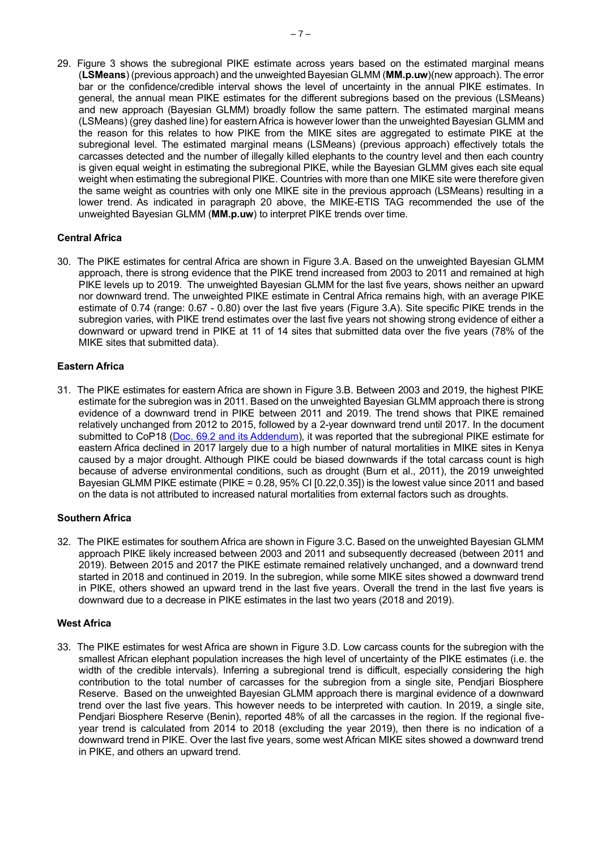29. Figure 3 shows the subregional PIKE estimate across years based on the estimated marginal means (**LSMeans**) (previous approach) and the unweighted Bayesian GLMM (**MM.p.uw**)(new approach). The error bar or the confidence/credible interval shows the level of uncertainty in the annual PIKE estimates. In general, the annual mean PIKE estimates for the different subregions based on the previous (LSMeans) and new approach (Bayesian GLMM) broadly follow the same pattern. The estimated marginal means (LSMeans) (grey dashed line) for eastern Africa is however lower than the unweighted Bayesian GLMM and the reason for this relates to how PIKE from the MIKE sites are aggregated to estimate PIKE at the subregional level. The estimated marginal means (LSMeans) (previous approach) effectively totals the carcasses detected and the number of illegally killed elephants to the country level and then each country is given equal weight in estimating the subregional PIKE, while the Bayesian GLMM gives each site equal weight when estimating the subregional PIKE. Countries with more than one MIKE site were therefore given the same weight as countries with only one MIKE site in the previous approach (LSMeans) resulting in a lower trend. As indicated in paragraph 20 above, the MIKE-ETIS TAG recommended the use of the unweighted Bayesian GLMM (**MM.p.uw**) to interpret PIKE trends over time.

# <span id="page-6-0"></span>**Central Africa**

30. The PIKE estimates for central Africa are shown in Figure 3.A. Based on the unweighted Bayesian GLMM approach, there is strong evidence that the PIKE trend increased from 2003 to 2011 and remained at high PIKE levels up to 2019. The unweighted Bayesian GLMM for the last five years, shows neither an upward nor downward trend. The unweighted PIKE estimate in Central Africa remains high, with an average PIKE estimate of 0.74 (range: 0.67 - 0.80) over the last five years (Figure 3.A). Site specific PIKE trends in the subregion varies, with PIKE trend estimates over the last five years not showing strong evidence of either a downward or upward trend in PIKE at 11 of 14 sites that submitted data over the five years (78% of the MIKE sites that submitted data).

# <span id="page-6-1"></span>**Eastern Africa**

31. The PIKE estimates for eastern Africa are shown in Figure 3.B. Between 2003 and 2019, the highest PIKE estimate for the subregion was in 2011. Based on the unweighted Bayesian GLMM approach there is strong evidence of a downward trend in PIKE between 2011 and 2019. The trend shows that PIKE remained relatively unchanged from 2012 to 2015, followed by a 2-year downward trend until 2017. In the document submitted to CoP18 [\(Doc. 69.2 and its Addendum\)](https://cites.org/sites/default/files/eng/cop/18/doc/E-CoP18-069-02-Add.pdf), it was reported that the subregional PIKE estimate for eastern Africa declined in 2017 largely due to a high number of natural mortalities in MIKE sites in Kenya caused by a major drought. Although PIKE could be biased downwards if the total carcass count is high because of adverse environmental conditions, such as drought (Burn et al., 2011), the 2019 unweighted Bayesian GLMM PIKE estimate (PIKE = 0.28, 95% CI [0.22,0.35]) is the lowest value since 2011 and based on the data is not attributed to increased natural mortalities from external factors such as droughts.

## <span id="page-6-2"></span>**Southern Africa**

32. The PIKE estimates for southern Africa are shown in Figure 3.C. Based on the unweighted Bayesian GLMM approach PIKE likely increased between 2003 and 2011 and subsequently decreased (between 2011 and 2019). Between 2015 and 2017 the PIKE estimate remained relatively unchanged, and a downward trend started in 2018 and continued in 2019. In the subregion, while some MIKE sites showed a downward trend in PIKE, others showed an upward trend in the last five years. Overall the trend in the last five years is downward due to a decrease in PIKE estimates in the last two years (2018 and 2019).

## <span id="page-6-3"></span>**West Africa**

33. The PIKE estimates for west Africa are shown in Figure 3.D. Low carcass counts for the subregion with the smallest African elephant population increases the high level of uncertainty of the PIKE estimates (i.e. the width of the credible intervals). Inferring a subregional trend is difficult, especially considering the high contribution to the total number of carcasses for the subregion from a single site, Pendjari Biosphere Reserve. Based on the unweighted Bayesian GLMM approach there is marginal evidence of a downward trend over the last five years. This however needs to be interpreted with caution. In 2019, a single site, Pendjari Biosphere Reserve (Benin), reported 48% of all the carcasses in the region. If the regional fiveyear trend is calculated from 2014 to 2018 (excluding the year 2019), then there is no indication of a downward trend in PIKE. Over the last five years, some west African MIKE sites showed a downward trend in PIKE, and others an upward trend.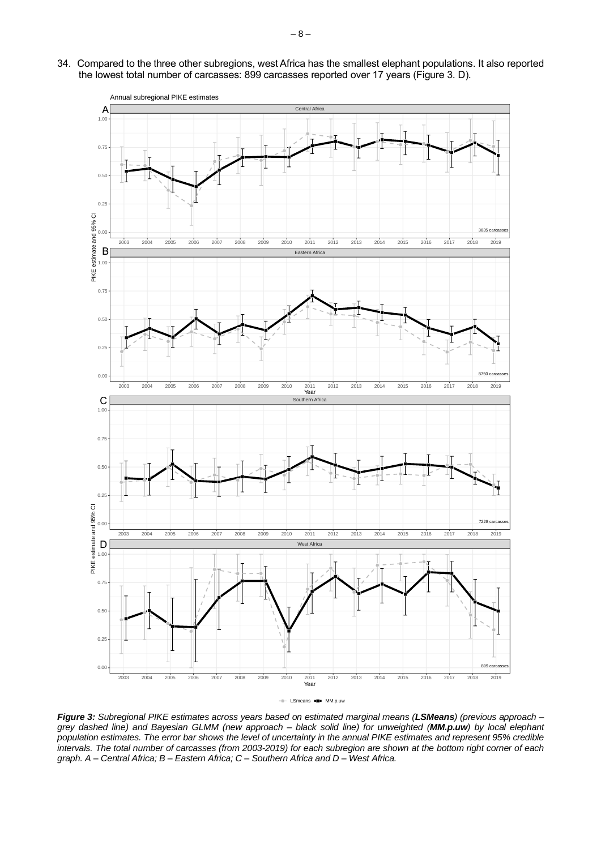34. Compared to the three other subregions, west Africa has the smallest elephant populations. It also reported the lowest total number of carcasses: 899 carcasses reported over 17 years (Figure 3. D).



<span id="page-7-0"></span>*Figure 3: Subregional PIKE estimates across years based on estimated marginal means (LSMeans) (previous approach – grey dashed line) and Bayesian GLMM (new approach – black solid line) for unweighted (MM.p.uw) by local elephant population estimates. The error bar shows the level of uncertainty in the annual PIKE estimates and represent 95% credible intervals. The total number of carcasses (from 2003-2019) for each subregion are shown at the bottom right corner of each graph. A – Central Africa; B – Eastern Africa; C – Southern Africa and D – West Africa.*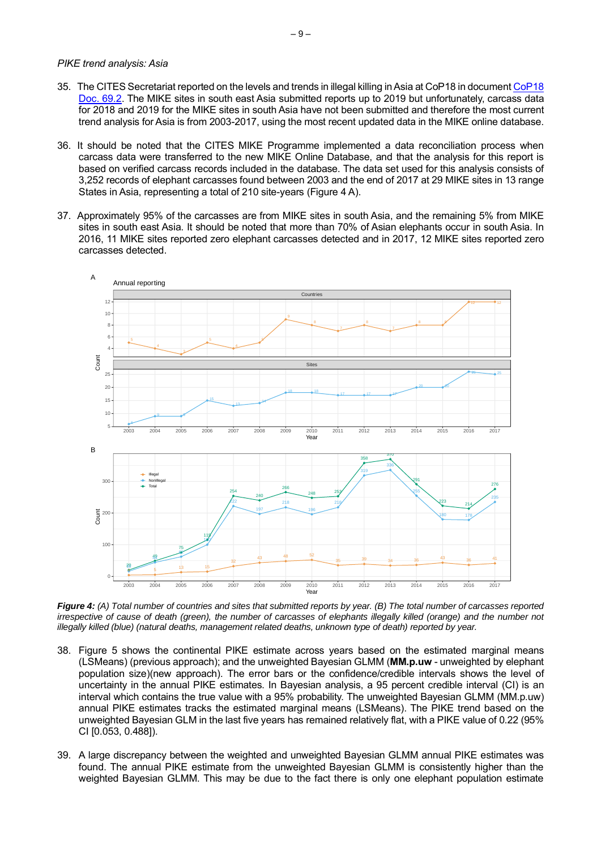#### *PIKE trend analysis: Asia*

- 35. The CITES Secretariat reported on the levels and trends in illegal killing in Asia at CoP18 in documen[t CoP18](https://cites.org/sites/default/files/eng/cop/18/doc/E-CoP18-069-02.pdf)  [Doc. 69.2.](https://cites.org/sites/default/files/eng/cop/18/doc/E-CoP18-069-02.pdf) The MIKE sites in south east Asia submitted reports up to 2019 but unfortunately, carcass data for 2018 and 2019 for the MIKE sites in south Asia have not been submitted and therefore the most current trend analysis for Asia is from 2003-2017, using the most recent updated data in the MIKE online database.
- 36. It should be noted that the CITES MIKE Programme implemented a data reconciliation process when carcass data were transferred to the new MIKE Online Database, and that the analysis for this report is based on verified carcass records included in the database. The data set used for this analysis consists of 3,252 records of elephant carcasses found between 2003 and the end of 2017 at 29 MIKE sites in 13 range States in Asia, representing a total of 210 site-years (Figure 4 A).
- 37. Approximately 95% of the carcasses are from MIKE sites in south Asia, and the remaining 5% from MIKE sites in south east Asia. It should be noted that more than 70% of Asian elephants occur in south Asia. In 2016, 11 MIKE sites reported zero elephant carcasses detected and in 2017, 12 MIKE sites reported zero carcasses detected.



*Figure 4: (A) Total number of countries and sites that submitted reports by year. (B) The total number of carcasses reported irrespective of cause of death (green), the number of carcasses of elephants illegally killed (orange) and the number not illegally killed (blue) (natural deaths, management related deaths, unknown type of death) reported by year.*

- 38. Figure 5 shows the continental PIKE estimate across years based on the estimated marginal means (LSMeans) (previous approach); and the unweighted Bayesian GLMM (**MM.p.uw** - unweighted by elephant population size)(new approach). The error bars or the confidence/credible intervals shows the level of uncertainty in the annual PIKE estimates. In Bayesian analysis, a 95 percent credible interval (CI) is an interval which contains the true value with a 95% probability. The unweighted Bayesian GLMM (MM.p.uw) annual PIKE estimates tracks the estimated marginal means (LSMeans). The PIKE trend based on the unweighted Bayesian GLM in the last five years has remained relatively flat, with a PIKE value of 0.22 (95% CI [0.053, 0.488]).
- 39. A large discrepancy between the weighted and unweighted Bayesian GLMM annual PIKE estimates was found. The annual PIKE estimate from the unweighted Bayesian GLMM is consistently higher than the weighted Bayesian GLMM. This may be due to the fact there is only one elephant population estimate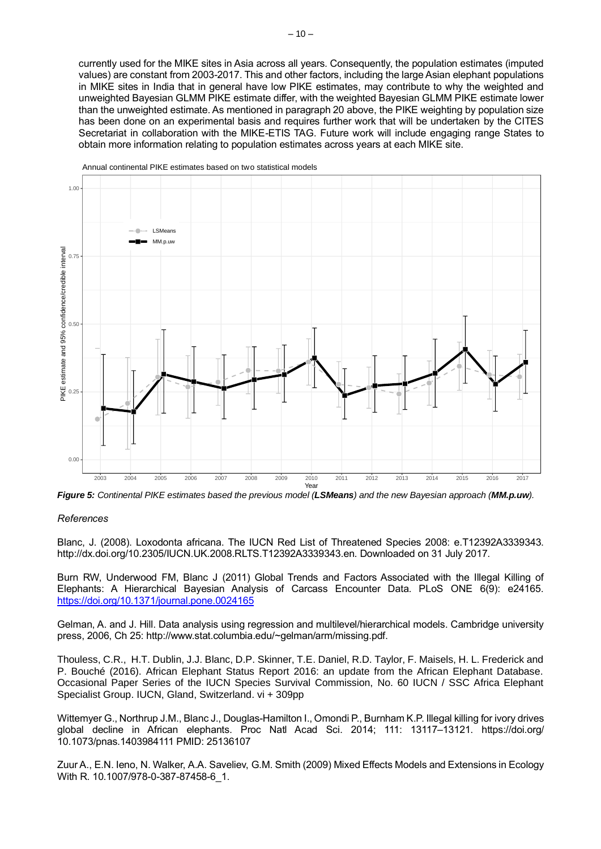currently used for the MIKE sites in Asia across all years. Consequently, the population estimates (imputed values) are constant from 2003-2017. This and other factors, including the large Asian elephant populations in MIKE sites in India that in general have low PIKE estimates, may contribute to why the weighted and unweighted Bayesian GLMM PIKE estimate differ, with the weighted Bayesian GLMM PIKE estimate lower than the unweighted estimate. As mentioned in paragraph 20 above, the PIKE weighting by population size has been done on an experimental basis and requires further work that will be undertaken by the CITES Secretariat in collaboration with the MIKE-ETIS TAG. Future work will include engaging range States to obtain more information relating to population estimates across years at each MIKE site.



Annual continental PIKE estimates based on two statistical models

*Figure 5: Continental PIKE estimates based the previous model (LSMeans) and the new Bayesian approach (MM.p.uw).*

#### <span id="page-9-0"></span>*References*

Blanc, J. (2008). Loxodonta africana. The IUCN Red List of Threatened Species 2008: e.T12392A3339343. http://dx.doi.org/10.2305/IUCN.UK.2008.RLTS.T12392A3339343.en. Downloaded on 31 July 2017.

Burn RW, Underwood FM, Blanc J (2011) Global Trends and Factors Associated with the Illegal Killing of Elephants: A Hierarchical Bayesian Analysis of Carcass Encounter Data. PLoS ONE 6(9): e24165. <https://doi.org/10.1371/journal.pone.0024165>

Gelman, A. and J. Hill. Data analysis using regression and multilevel/hierarchical models. Cambridge university press, 2006, Ch 25: http://www.stat.columbia.edu/~gelman/arm/missing.pdf.

Thouless, C.R., H.T. Dublin, J.J. Blanc, D.P. Skinner, T.E. Daniel, R.D. Taylor, F. Maisels, H. L. Frederick and P. Bouché (2016). African Elephant Status Report 2016: an update from the African Elephant Database. Occasional Paper Series of the IUCN Species Survival Commission, No. 60 IUCN / SSC Africa Elephant Specialist Group. IUCN, Gland, Switzerland. vi + 309pp

Wittemyer G., Northrup J.M., Blanc J., Douglas-Hamilton I., Omondi P., Burnham K.P. Illegal killing for ivory drives global decline in African elephants. Proc Natl Acad Sci. 2014; 111: 13117–13121. https://doi.org/ 10.1073/pnas.1403984111 PMID: 25136107

[Zuur](https://www.google.co.ke/search?tbo=p&tbm=bks&q=inauthor:%22Alain+Zuur%22) A., [E.N. Ieno,](https://www.google.co.ke/search?tbo=p&tbm=bks&q=inauthor:%22Elena+N.+Ieno%22) [N. Walker,](https://www.google.co.ke/search?tbo=p&tbm=bks&q=inauthor:%22Neil+Walker%22) [A.A. Saveliev,](https://www.google.co.ke/search?tbo=p&tbm=bks&q=inauthor:%22Anatoly+A.+Saveliev%22) [G.M. Smith](https://www.google.co.ke/search?tbo=p&tbm=bks&q=inauthor:%22Graham+M.+Smith%22) (2009) Mixed Effects Models and Extensions in Ecology With R. 10.1007/978-0-387-87458-6\_1.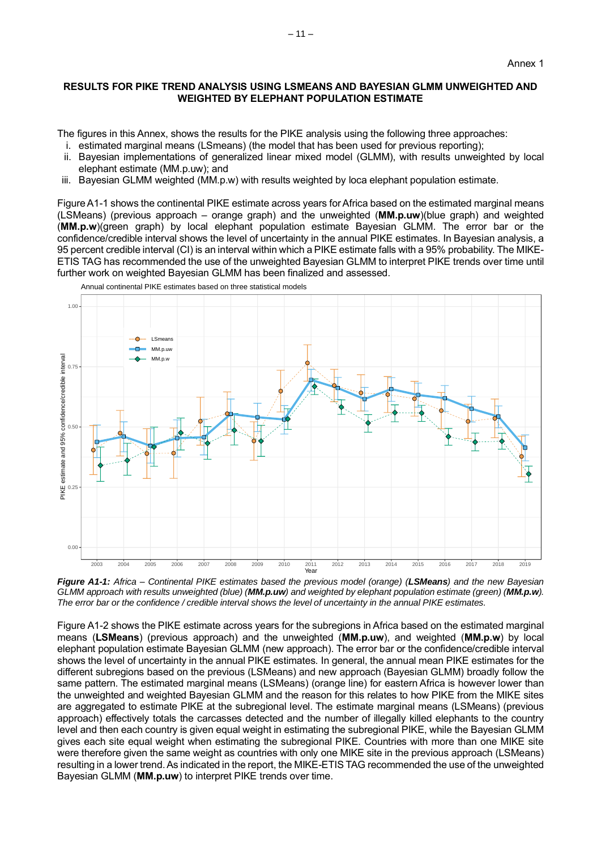## <span id="page-10-1"></span><span id="page-10-0"></span>**RESULTS FOR PIKE TREND ANALYSIS USING LSMEANS AND BAYESIAN GLMM UNWEIGHTED AND WEIGHTED BY ELEPHANT POPULATION ESTIMATE**

The figures in this Annex, shows the results for the PIKE analysis using the following three approaches:

- i. estimated marginal means (LSmeans) (the model that has been used for previous reporting);
- ii. Bayesian implementations of generalized linear mixed model (GLMM), with results unweighted by local elephant estimate (MM.p.uw); and
- iii. Bayesian GLMM weighted (MM.p.w) with results weighted by loca elephant population estimate.

Figure A1-1 shows the continental PIKE estimate across years for Africa based on the estimated marginal means (LSMeans) (previous approach – orange graph) and the unweighted (**MM.p.uw**)(blue graph) and weighted (**MM.p.w**)(green graph) by local elephant population estimate Bayesian GLMM. The error bar or the confidence/credible interval shows the level of uncertainty in the annual PIKE estimates. In Bayesian analysis, a 95 percent credible interval (CI) is an interval within which a PIKE estimate falls with a 95% probability. The MIKE-ETIS TAG has recommended the use of the unweighted Bayesian GLMM to interpret PIKE trends over time until further work on weighted Bayesian GLMM has been finalized and assessed.



Annual continental PIKE estimates based on three statistical models

*Figure A1-1: Africa* – *Continental PIKE estimates based the previous model (orange) (LSMeans) and the new Bayesian GLMM approach with results unweighted (blue) (MM.p.uw) and weighted by elephant population estimate (green) (MM.p.w). The error bar or the confidence / credible interval shows the level of uncertainty in the annual PIKE estimates.*

Figure A1-2 shows the PIKE estimate across years for the subregions in Africa based on the estimated marginal means (**LSMeans**) (previous approach) and the unweighted (**MM.p.uw**), and weighted (**MM.p.w**) by local elephant population estimate Bayesian GLMM (new approach). The error bar or the confidence/credible interval shows the level of uncertainty in the annual PIKE estimates. In general, the annual mean PIKE estimates for the different subregions based on the previous (LSMeans) and new approach (Bayesian GLMM) broadly follow the same pattern. The estimated marginal means (LSMeans) (orange line) for eastern Africa is however lower than the unweighted and weighted Bayesian GLMM and the reason for this relates to how PIKE from the MIKE sites are aggregated to estimate PIKE at the subregional level. The estimate marginal means (LSMeans) (previous approach) effectively totals the carcasses detected and the number of illegally killed elephants to the country level and then each country is given equal weight in estimating the subregional PIKE, while the Bayesian GLMM gives each site equal weight when estimating the subregional PIKE. Countries with more than one MIKE site were therefore given the same weight as countries with only one MIKE site in the previous approach (LSMeans) resulting in a lower trend. As indicated in the report, the MIKE-ETIS TAG recommended the use of the unweighted Bayesian GLMM (**MM.p.uw**) to interpret PIKE trends over time.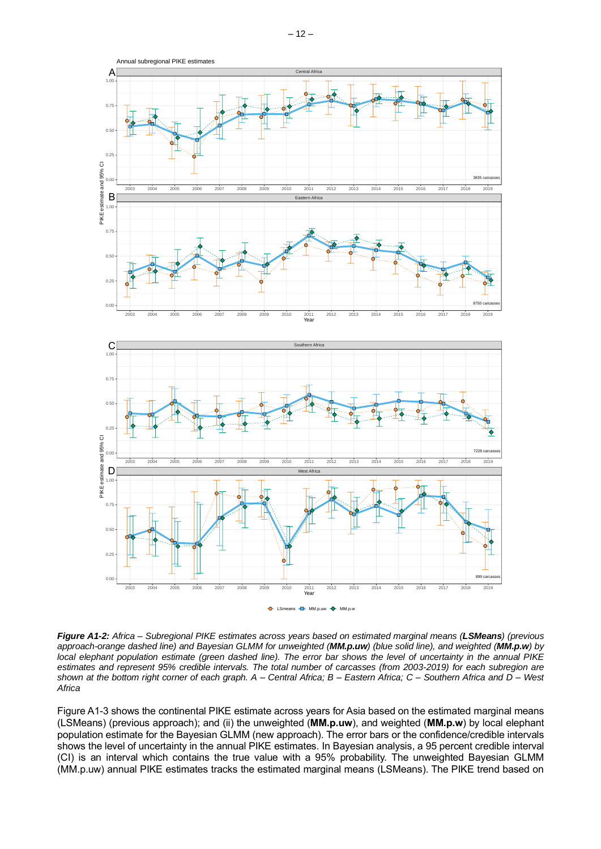

*Figure A1-2: Africa – Subregional PIKE estimates across years based on estimated marginal means (LSMeans) (previous approach-orange dashed line) and Bayesian GLMM for unweighted (MM.p.uw) (blue solid line), and weighted (MM.p.w) by local elephant population estimate (green dashed line). The error bar shows the level of uncertainty in the annual PIKE estimates and represent 95% credible intervals. The total number of carcasses (from 2003-2019) for each subregion are shown at the bottom right corner of each graph. A – Central Africa; B – Eastern Africa; C – Southern Africa and D – West Africa*

Figure A1-3 shows the continental PIKE estimate across years for Asia based on the estimated marginal means (LSMeans) (previous approach); and (ii) the unweighted (**MM.p.uw**), and weighted (**MM.p.w**) by local elephant population estimate for the Bayesian GLMM (new approach). The error bars or the confidence/credible intervals shows the level of uncertainty in the annual PIKE estimates. In Bayesian analysis, a 95 percent credible interval (CI) is an interval which contains the true value with a 95% probability. The unweighted Bayesian GLMM (MM.p.uw) annual PIKE estimates tracks the estimated marginal means (LSMeans). The PIKE trend based on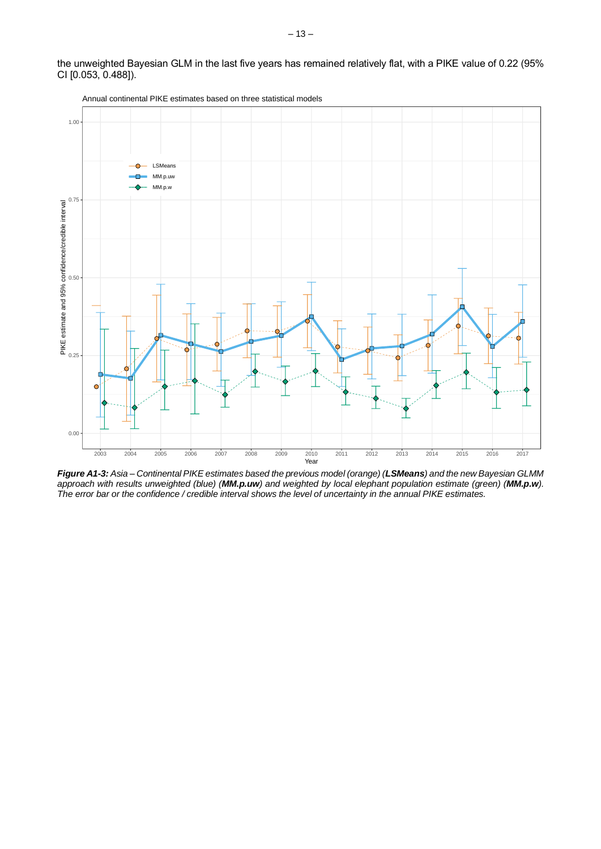the unweighted Bayesian GLM in the last five years has remained relatively flat, with a PIKE value of 0.22 (95% CI [0.053, 0.488]).



Annual continental PIKE estimates based on three statistical models

<span id="page-12-0"></span>*Figure A1-3: Asia – Continental PIKE estimates based the previous model (orange) (LSMeans) and the new Bayesian GLMM approach with results unweighted (blue) (MM.p.uw) and weighted by local elephant population estimate (green) (MM.p.w). The error bar or the confidence / credible interval shows the level of uncertainty in the annual PIKE estimates.*